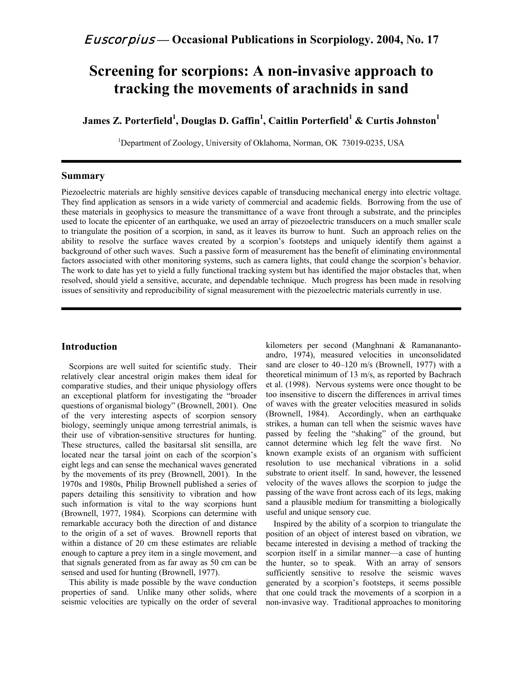# **Screening for scorpions: A non-invasive approach to tracking the movements of arachnids in sand**

 ${\bf James~Z.~Porterfield}^1,$   ${\bf Douglas~D.~Gaffin}^1,$   ${\bf Caitlin~Porterfield}^1$   $\boldsymbol{\&}~{\bf Curtis~Johnston}^1$ 

<sup>1</sup>Department of Zoology, University of Oklahoma, Norman, OK 73019-0235, USA

# **Summary**

Piezoelectric materials are highly sensitive devices capable of transducing mechanical energy into electric voltage. They find application as sensors in a wide variety of commercial and academic fields. Borrowing from the use of these materials in geophysics to measure the transmittance of a wave front through a substrate, and the principles used to locate the epicenter of an earthquake, we used an array of piezoelectric transducers on a much smaller scale to triangulate the position of a scorpion, in sand, as it leaves its burrow to hunt. Such an approach relies on the ability to resolve the surface waves created by a scorpion's footsteps and uniquely identify them against a background of other such waves. Such a passive form of measurement has the benefit of eliminating environmental factors associated with other monitoring systems, such as camera lights, that could change the scorpion's behavior. The work to date has yet to yield a fully functional tracking system but has identified the major obstacles that, when resolved, should yield a sensitive, accurate, and dependable technique. Much progress has been made in resolving issues of sensitivity and reproducibility of signal measurement with the piezoelectric materials currently in use.

# **Introduction**

Scorpions are well suited for scientific study. Their relatively clear ancestral origin makes them ideal for comparative studies, and their unique physiology offers an exceptional platform for investigating the "broader questions of organismal biology" (Brownell, 2001). One of the very interesting aspects of scorpion sensory biology, seemingly unique among terrestrial animals, is their use of vibration-sensitive structures for hunting. These structures, called the basitarsal slit sensilla, are located near the tarsal joint on each of the scorpion's eight legs and can sense the mechanical waves generated by the movements of its prey (Brownell, 2001). In the 1970s and 1980s, Philip Brownell published a series of papers detailing this sensitivity to vibration and how such information is vital to the way scorpions hunt (Brownell, 1977, 1984). Scorpions can determine with remarkable accuracy both the direction of and distance to the origin of a set of waves. Brownell reports that within a distance of 20 cm these estimates are reliable enough to capture a prey item in a single movement, and that signals generated from as far away as 50 cm can be sensed and used for hunting (Brownell, 1977).

This ability is made possible by the wave conduction properties of sand. Unlike many other solids, where seismic velocities are typically on the order of several

kilometers per second (Manghnani & Ramananantoandro, 1974), measured velocities in unconsolidated sand are closer to 40–120 m/s (Brownell, 1977) with a theoretical minimum of 13 m/s, as reported by Bachrach et al. (1998). Nervous systems were once thought to be too insensitive to discern the differences in arrival times of waves with the greater velocities measured in solids (Brownell, 1984). Accordingly, when an earthquake strikes, a human can tell when the seismic waves have passed by feeling the "shaking" of the ground, but cannot determine which leg felt the wave first. No known example exists of an organism with sufficient resolution to use mechanical vibrations in a solid substrate to orient itself. In sand, however, the lessened velocity of the waves allows the scorpion to judge the passing of the wave front across each of its legs, making sand a plausible medium for transmitting a biologically useful and unique sensory cue.

Inspired by the ability of a scorpion to triangulate the position of an object of interest based on vibration, we became interested in devising a method of tracking the scorpion itself in a similar manner—a case of hunting the hunter, so to speak. With an array of sensors sufficiently sensitive to resolve the seismic waves generated by a scorpion's footsteps, it seems possible that one could track the movements of a scorpion in a non-invasive way. Traditional approaches to monitoring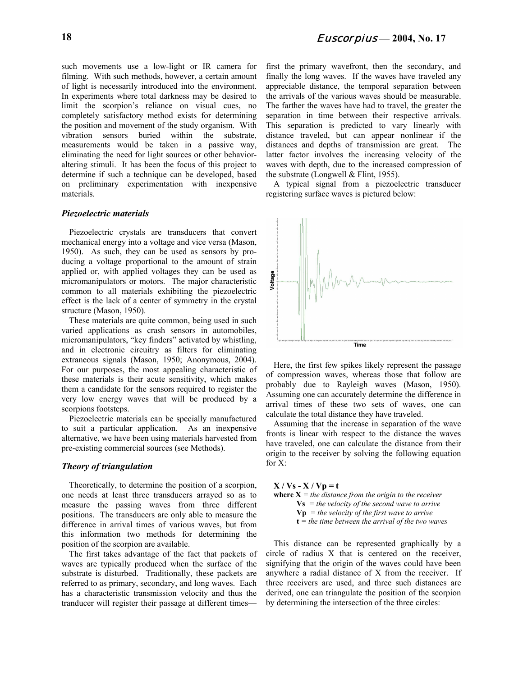such movements use a low-light or IR camera for filming. With such methods, however, a certain amount of light is necessarily introduced into the environment. In experiments where total darkness may be desired to limit the scorpion's reliance on visual cues, no completely satisfactory method exists for determining the position and movement of the study organism. With vibration sensors buried within the substrate, measurements would be taken in a passive way, eliminating the need for light sources or other behavioraltering stimuli. It has been the focus of this project to determine if such a technique can be developed, based on preliminary experimentation with inexpensive materials.

## *Piezoelectric materials*

Piezoelectric crystals are transducers that convert mechanical energy into a voltage and vice versa (Mason, 1950). As such, they can be used as sensors by producing a voltage proportional to the amount of strain applied or, with applied voltages they can be used as micromanipulators or motors. The major characteristic common to all materials exhibiting the piezoelectric effect is the lack of a center of symmetry in the crystal structure (Mason, 1950).

These materials are quite common, being used in such varied applications as crash sensors in automobiles, micromanipulators, "key finders" activated by whistling, and in electronic circuitry as filters for eliminating extraneous signals (Mason, 1950; Anonymous, 2004). For our purposes, the most appealing characteristic of these materials is their acute sensitivity, which makes them a candidate for the sensors required to register the very low energy waves that will be produced by a scorpions footsteps.

Piezoelectric materials can be specially manufactured to suit a particular application. As an inexpensive alternative, we have been using materials harvested from pre-existing commercial sources (see Methods).

#### *Theory of triangulation*

Theoretically, to determine the position of a scorpion, one needs at least three transducers arrayed so as to measure the passing waves from three different positions. The transducers are only able to measure the difference in arrival times of various waves, but from this information two methods for determining the position of the scorpion are available.

The first takes advantage of the fact that packets of waves are typically produced when the surface of the substrate is disturbed. Traditionally, these packets are referred to as primary, secondary, and long waves. Each has a characteristic transmission velocity and thus the tranducer will register their passage at different timesfirst the primary wavefront, then the secondary, and finally the long waves. If the waves have traveled any appreciable distance, the temporal separation between the arrivals of the various waves should be measurable. The farther the waves have had to travel, the greater the separation in time between their respective arrivals. This separation is predicted to vary linearly with distance traveled, but can appear nonlinear if the distances and depths of transmission are great. The latter factor involves the increasing velocity of the waves with depth, due to the increased compression of the substrate (Longwell & Flint, 1955).

A typical signal from a piezoelectric transducer registering surface waves is pictured below:



Here, the first few spikes likely represent the passage of compression waves, whereas those that follow are probably due to Rayleigh waves (Mason, 1950). Assuming one can accurately determine the difference in arrival times of these two sets of waves, one can calculate the total distance they have traveled.

Assuming that the increase in separation of the wave fronts is linear with respect to the distance the waves have traveled, one can calculate the distance from their origin to the receiver by solving the following equation for X:

 $X / Vs - X / Vp = t$ **where**  $X =$  *the distance from the origin to the receiver* **Vs** *= the velocity of the second wave to arrive* **Vp** *= the velocity of the first wave to arrive* **t** *= the time between the arrival of the two waves*

This distance can be represented graphically by a circle of radius X that is centered on the receiver, signifying that the origin of the waves could have been anywhere a radial distance of X from the receiver. If three receivers are used, and three such distances are derived, one can triangulate the position of the scorpion by determining the intersection of the three circles: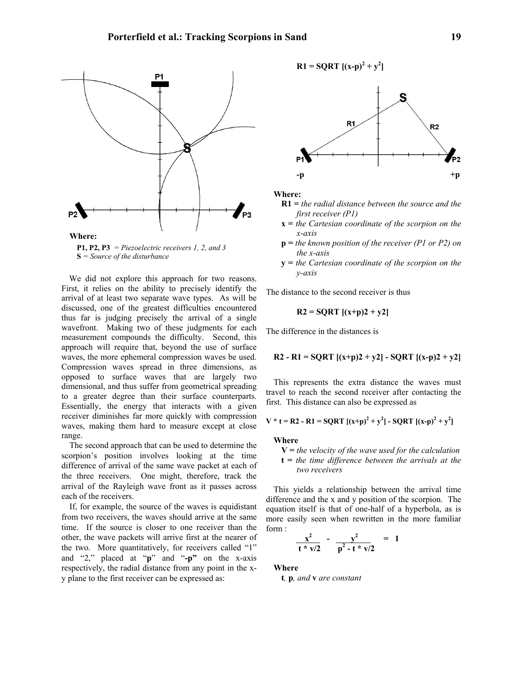

**P1, P2, P3** *= Piezoelectric receivers 1, 2, and 3* **S** *= Source of the disturbance*

We did not explore this approach for two reasons. First, it relies on the ability to precisely identify the arrival of at least two separate wave types. As will be discussed, one of the greatest difficulties encountered thus far is judging precisely the arrival of a single wavefront. Making two of these judgments for each measurement compounds the difficulty. Second, this approach will require that, beyond the use of surface waves, the more ephemeral compression waves be used. Compression waves spread in three dimensions, as opposed to surface waves that are largely two dimensional, and thus suffer from geometrical spreading to a greater degree than their surface counterparts. Essentially, the energy that interacts with a given receiver diminishes far more quickly with compression waves, making them hard to measure except at close range.

The second approach that can be used to determine the scorpion's position involves looking at the time difference of arrival of the same wave packet at each of the three receivers. One might, therefore, track the arrival of the Rayleigh wave front as it passes across each of the receivers.

If, for example, the source of the waves is equidistant from two receivers, the waves should arrive at the same time. If the source is closer to one receiver than the other, the wave packets will arrive first at the nearer of the two. More quantitatively, for receivers called "1" and "2," placed at "**p**" and "**-p"** on the x-axis respectively, the radial distance from any point in the xy plane to the first receiver can be expressed as:



**Where:**

- **R1 =** *the radial distance between the source and the first receiver (P1)*
- **x =** *the Cartesian coordinate of the scorpion on the x-axis*
- **p =** *the known position of the receiver (P1 or P2) on the x-axis*
- **y =** *the Cartesian coordinate of the scorpion on the y-axis*

The distance to the second receiver is thus

$$
R2 = SQRT [(x+p)2 + y2]
$$

The difference in the distances is

R2 - R1 = SQRT 
$$
[(x+p)2 + y2]
$$
 - SQRT  $[(x-p)2 + y2]$ 

This represents the extra distance the waves must travel to reach the second receiver after contacting the first. This distance can also be expressed as

$$
V * t = R2 - R1 = SQRT [(x+p)^2 + y^2] - SQRT [(x-p)^2 + y^2]
$$

# **Where**

**V =** *the velocity of the wave used for the calculation* **t =** *the time difference between the arrivals at the two receivers*

This yields a relationship between the arrival time difference and the x and y position of the scorpion. The equation itself is that of one-half of a hyperbola, as is more easily seen when rewritten in the more familiar form :

$$
\frac{x^2}{t * v/2} - \frac{v^2}{p^2 - t * v/2} = 1
$$

**Where**

**t***,* **p***, and* **v** *are constant*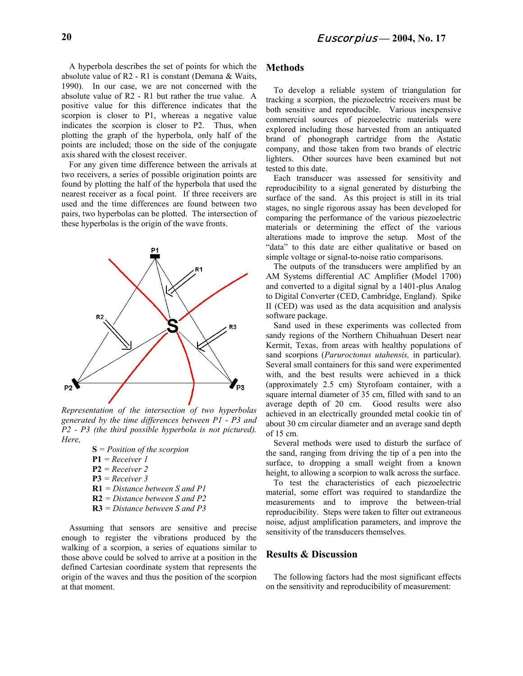A hyperbola describes the set of points for which the absolute value of R2 - R1 is constant (Demana & Waits, 1990). In our case, we are not concerned with the absolute value of R2 - R1 but rather the true value. A positive value for this difference indicates that the scorpion is closer to P1, whereas a negative value indicates the scorpion is closer to P2. Thus, when plotting the graph of the hyperbola, only half of the points are included; those on the side of the conjugate axis shared with the closest receiver.

For any given time difference between the arrivals at two receivers, a series of possible origination points are found by plotting the half of the hyperbola that used the nearest receiver as a focal point. If three receivers are used and the time differences are found between two pairs, two hyperbolas can be plotted. The intersection of these hyperbolas is the origin of the wave fronts.



*Representation of the intersection of two hyperbolas generated by the time differences between P1 - P3 and P2 - P3 (the third possible hyperbola is not pictured). Here,*

- **S** *= Position of the scorpion* **P1** *= Receiver 1* **P2** *= Receiver 2* **P3** *= Receiver 3* **R1** *= Distance between S and P1* **R2** *= Distance between S and P2*
- **R3** *= Distance between S and P3*

Assuming that sensors are sensitive and precise enough to register the vibrations produced by the walking of a scorpion, a series of equations similar to those above could be solved to arrive at a position in the defined Cartesian coordinate system that represents the origin of the waves and thus the position of the scorpion at that moment.

# **Methods**

To develop a reliable system of triangulation for tracking a scorpion, the piezoelectric receivers must be both sensitive and reproducible. Various inexpensive commercial sources of piezoelectric materials were explored including those harvested from an antiquated brand of phonograph cartridge from the Astatic company, and those taken from two brands of electric lighters. Other sources have been examined but not tested to this date.

Each transducer was assessed for sensitivity and reproducibility to a signal generated by disturbing the surface of the sand. As this project is still in its trial stages, no single rigorous assay has been developed for comparing the performance of the various piezoelectric materials or determining the effect of the various alterations made to improve the setup. Most of the "data" to this date are either qualitative or based on simple voltage or signal-to-noise ratio comparisons.

The outputs of the transducers were amplified by an AM Systems differential AC Amplifier (Model 1700) and converted to a digital signal by a 1401-plus Analog to Digital Converter (CED, Cambridge, England). Spike II (CED) was used as the data acquisition and analysis software package.

Sand used in these experiments was collected from sandy regions of the Northern Chihuahuan Desert near Kermit, Texas, from areas with healthy populations of sand scorpions (*Paruroctonus utahensis,* in particular). Several small containers for this sand were experimented with, and the best results were achieved in a thick (approximately 2.5 cm) Styrofoam container, with a square internal diameter of 35 cm, filled with sand to an average depth of 20 cm. Good results were also achieved in an electrically grounded metal cookie tin of about 30 cm circular diameter and an average sand depth of 15 cm.

Several methods were used to disturb the surface of the sand, ranging from driving the tip of a pen into the surface, to dropping a small weight from a known height, to allowing a scorpion to walk across the surface.

To test the characteristics of each piezoelectric material, some effort was required to standardize the measurements and to improve the between-trial reproducibility. Steps were taken to filter out extraneous noise, adjust amplification parameters, and improve the sensitivity of the transducers themselves.

# **Results & Discussion**

The following factors had the most significant effects on the sensitivity and reproducibility of measurement: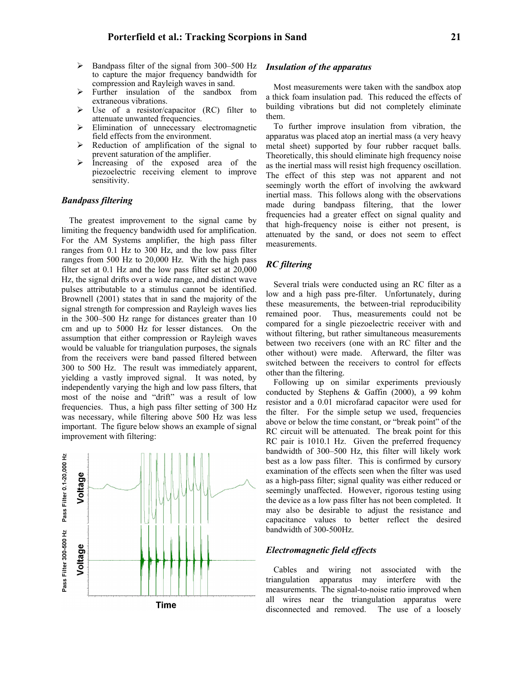- $\triangleright$  Bandpass filter of the signal from 300–500 Hz to capture the major frequency bandwidth for compression and Rayleigh waves in sand.
- $\triangleright$  Further insulation of the sandbox from extraneous vibrations.
- $\triangleright$  Use of a resistor/capacitor (RC) filter to attenuate unwanted frequencies.
- $\triangleright$  Elimination of unnecessary electromagnetic field effects from the environment.
- $\triangleright$  Reduction of amplification of the signal to prevent saturation of the amplifier.
- $\triangleright$  Increasing of the exposed area of the piezoelectric receiving element to improve sensitivity.

# *Bandpass filtering*

The greatest improvement to the signal came by limiting the frequency bandwidth used for amplification. For the AM Systems amplifier, the high pass filter ranges from 0.1 Hz to 300 Hz, and the low pass filter ranges from 500 Hz to 20,000 Hz. With the high pass filter set at 0.1 Hz and the low pass filter set at 20,000 Hz, the signal drifts over a wide range, and distinct wave pulses attributable to a stimulus cannot be identified. Brownell (2001) states that in sand the majority of the signal strength for compression and Rayleigh waves lies in the 300–500 Hz range for distances greater than 10 cm and up to 5000 Hz for lesser distances. On the assumption that either compression or Rayleigh waves would be valuable for triangulation purposes, the signals from the receivers were band passed filtered between 300 to 500 Hz. The result was immediately apparent, yielding a vastly improved signal. It was noted, by independently varying the high and low pass filters, that most of the noise and "drift" was a result of low frequencies. Thus, a high pass filter setting of 300 Hz was necessary, while filtering above 500 Hz was less important. The figure below shows an example of signal improvement with filtering:



#### *Insulation of the apparatus*

Most measurements were taken with the sandbox atop a thick foam insulation pad. This reduced the effects of building vibrations but did not completely eliminate them.

To further improve insulation from vibration, the apparatus was placed atop an inertial mass (a very heavy metal sheet) supported by four rubber racquet balls. Theoretically, this should eliminate high frequency noise as the inertial mass will resist high frequency oscillation. The effect of this step was not apparent and not seemingly worth the effort of involving the awkward inertial mass. This follows along with the observations made during bandpass filtering, that the lower frequencies had a greater effect on signal quality and that high-frequency noise is either not present, is attenuated by the sand, or does not seem to effect measurements.

# *RC filtering*

Several trials were conducted using an RC filter as a low and a high pass pre-filter. Unfortunately, during these measurements, the between-trial reproducibility remained poor. Thus, measurements could not be compared for a single piezoelectric receiver with and without filtering, but rather simultaneous measurements between two receivers (one with an RC filter and the other without) were made. Afterward, the filter was switched between the receivers to control for effects other than the filtering.

Following up on similar experiments previously conducted by Stephens & Gaffin (2000), a 99 kohm resistor and a 0.01 microfarad capacitor were used for the filter. For the simple setup we used, frequencies above or below the time constant, or "break point" of the RC circuit will be attenuated. The break point for this RC pair is 1010.1 Hz. Given the preferred frequency bandwidth of 300–500 Hz, this filter will likely work best as a low pass filter. This is confirmed by cursory examination of the effects seen when the filter was used as a high-pass filter; signal quality was either reduced or seemingly unaffected. However, rigorous testing using the device as a low pass filter has not been completed. It may also be desirable to adjust the resistance and capacitance values to better reflect the desired bandwidth of 300-500Hz.

## *Electromagnetic field effects*

Cables and wiring not associated with the triangulation apparatus may interfere with the measurements. The signal-to-noise ratio improved when all wires near the triangulation apparatus were disconnected and removed. The use of a loosely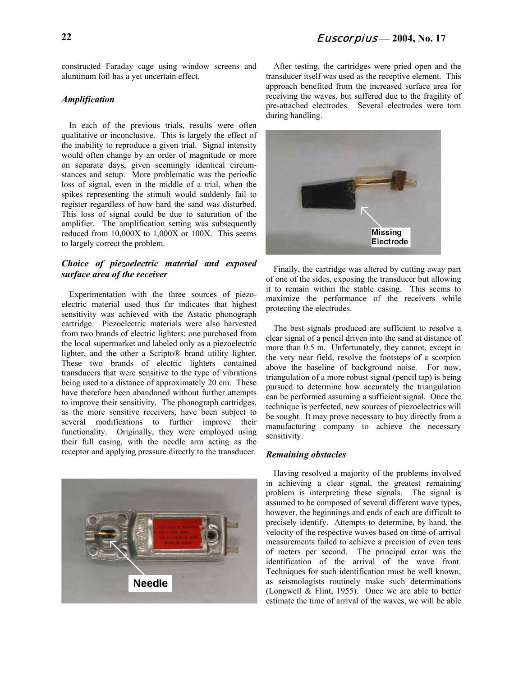constructed Faraday cage using window screens and aluminum foil has a yet uncertain effect.

# *Amplification*

In each of the previous trials, results were often qualitative or inconclusive. This is largely the effect of the inability to reproduce a given trial. Signal intensity would often change by an order of magnitude or more on separate days, given seemingly identical circumstances and setup. More problematic was the periodic loss of signal, even in the middle of a trial, when the spikes representing the stimuli would suddenly fail to register regardless of how hard the sand was disturbed. This loss of signal could be due to saturation of the amplifier. The amplification setting was subsequently reduced from 10,000X to 1,000X or 100X. This seems to largely correct the problem.

# *Choice of piezoelectric material and exposed surface area of the receiver*

Experimentation with the three sources of piezoelectric material used thus far indicates that highest sensitivity was achieved with the Astatic phonograph cartridge. Piezoelectric materials were also harvested from two brands of electric lighters: one purchased from the local supermarket and labeled only as a piezoelectric lighter, and the other a Scripto® brand utility lighter. These two brands of electric lighters contained transducers that were sensitive to the type of vibrations being used to a distance of approximately 20 cm. These have therefore been abandoned without further attempts to improve their sensitivity. The phonograph cartridges, as the more sensitive receivers, have been subject to several modifications to further improve their functionality. Originally, they were employed using their full casing, with the needle arm acting as the receptor and applying pressure directly to the transducer.



After testing, the cartridges were pried open and the transducer itself was used as the receptive element. This approach benefited from the increased surface area for receiving the waves, but suffered due to the fragility of pre-attached electrodes. Several electrodes were torn during handling.



Finally, the cartridge was altered by cutting away part of one of the sides, exposing the transducer but allowing it to remain within the stable casing. This seems to maximize the performance of the receivers while protecting the electrodes.

The best signals produced are sufficient to resolve a clear signal of a pencil driven into the sand at distance of more than 0.5 m. Unfortunately, they cannot, except in the very near field, resolve the footsteps of a scorpion above the baseline of background noise. For now, triangulation of a more robust signal (pencil tap) is being pursued to determine how accurately the triangulation can be performed assuming a sufficient signal. Once the technique is perfected, new sources of piezoelectrics will be sought. It may prove necessary to buy directly from a manufacturing company to achieve the necessary sensitivity.

## *Remaining obstacles*

Having resolved a majority of the problems involved in achieving a clear signal, the greatest remaining problem is interpreting these signals. The signal is assumed to be composed of several different wave types, however, the beginnings and ends of each are difficult to precisely identify. Attempts to determine, by hand, the velocity of the respective waves based on time-of-arrival measurements failed to achieve a precision of even tens of meters per second. The principal error was the identification of the arrival of the wave front. Techniques for such identification must be well known, as seismologists routinely make such determinations (Longwell  $\&$  Flint, 1955). Once we are able to better estimate the time of arrival of the waves, we will be able